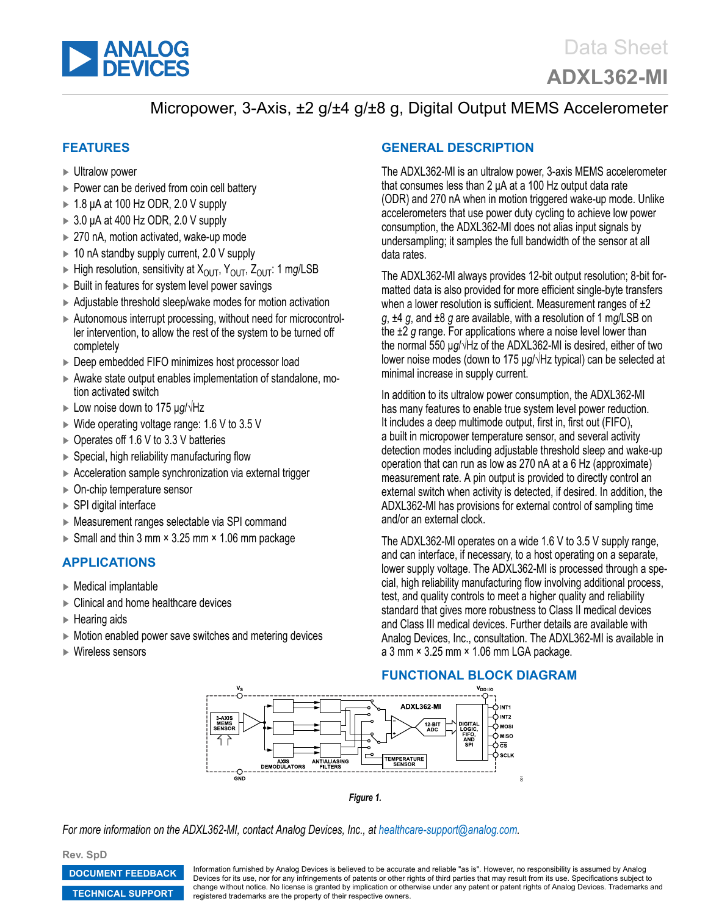

# Micropower, 3-Axis, ±2 g/±4 g/±8 g, Digital Output MEMS Accelerometer

## **FEATURES**

- ► Ultralow power
- ► Power can be derived from coin cell battery
- ► 1.8 µA at 100 Hz ODR, 2.0 V supply
- $\triangleright$  3.0 µA at 400 Hz ODR, 2.0 V supply
- ► 270 nA, motion activated, wake-up mode
- ► 10 nA standby supply current, 2.0 V supply
- ► High resolution, sensitivity at XOUT, YOUT, ZOUT: 1 m*g*/LSB
- ► Built in features for system level power savings
- ► Adjustable threshold sleep/wake modes for motion activation
- ► Autonomous interrupt processing, without need for microcontroller intervention, to allow the rest of the system to be turned off completely
- ► Deep embedded FIFO minimizes host processor load
- ► Awake state output enables implementation of standalone, motion activated switch
- ► Low noise down to 175 µ*g*/√Hz
- $\triangleright$  Wide operating voltage range: 1.6 V to 3.5 V
- ► Operates off 1.6 V to 3.3 V batteries
- ► Special, high reliability manufacturing flow
- ► Acceleration sample synchronization via external trigger
- ► On-chip temperature sensor
- ► SPI digital interface
- ► Measurement ranges selectable via SPI command
- ► Small and thin 3 mm  $\times$  3.25 mm  $\times$  1.06 mm package

#### **APPLICATIONS**

- ► Medical implantable
- ► Clinical and home healthcare devices
- ► Hearing aids
- ► Motion enabled power save switches and metering devices
- ► Wireless sensors

## **GENERAL DESCRIPTION**

The ADXL362-MI is an ultralow power, 3-axis MEMS accelerometer that consumes less than 2 µA at a 100 Hz output data rate (ODR) and 270 nA when in motion triggered wake-up mode. Unlike accelerometers that use power duty cycling to achieve low power consumption, the ADXL362-MI does not alias input signals by undersampling; it samples the full bandwidth of the sensor at all data rates.

The ADXL362-MI always provides 12-bit output resolution; 8‑bit formatted data is also provided for more efficient single-byte transfers when a lower resolution is sufficient. Measurement ranges of  $\pm 2$ *g*, ±4 *g*, and ±8 *g* are available, with a resolution of 1 m*g*/LSB on the ±2 *g* range. For applications where a noise level lower than the normal 550 µ*g*/√Hz of the ADXL362-MI is desired, either of two lower noise modes (down to 175 µ*g*/√Hz typical) can be selected at minimal increase in supply current.

In addition to its ultralow power consumption, the ADXL362-MI has many features to enable true system level power reduction. It includes a deep multimode output, first in, first out (FIFO), a built in micropower temperature sensor, and several activity detection modes including adjustable threshold sleep and wake-up operation that can run as low as 270 nA at a 6 Hz (approximate) measurement rate. A pin output is provided to directly control an external switch when activity is detected, if desired. In addition, the ADXL362-MI has provisions for external control of sampling time and/or an external clock.

The ADXL362-MI operates on a wide 1.6 V to 3.5 V supply range, and can interface, if necessary, to a host operating on a separate, lower supply voltage. The ADXL362-MI is processed through a special, high reliability manufacturing flow involving additional process, test, and quality controls to meet a higher quality and reliability standard that gives more robustness to Class II medical devices and Class III medical devices. Further details are available with Analog Devices, Inc., consultation. The ADXL362-MI is available in a 3 mm × 3.25 mm × 1.06 mm LGA package.

**ADXI 362-MI** O INT1  $\frac{1}{2}$ int2 **3-AXIS<br>MEMS<br>SENSOR** DIGITAL<br>LOGIC,<br>FIFO,<br>AND<br>SPI — p<br>— p<br>— miso 12 BIT<br>ADC  $\frac{1}{2}$ 9 sclk **TEMPERATURE**<br>SENSOR AXIS<br>DEMODULATORS **ANTIALIASING**<br>FILTERS  $\overline{a}$ 

*Figure 1.*

*For more information on the ADXL362-MI, contact Analog Devices, Inc., at [healthcare-support@analog.com](mailto:healthcare-support@analog.com).*

**Rev. SpD**

**[DOCUMENT FEEDBACK](https://form.analog.com/Form_Pages/feedback/documentfeedback.aspx?doc=ADXL362-MI.pdf&product=ADXL362-MI&rev=SpD) [TECHNICAL SUPPORT](http://www.analog.com/en/content/technical_support_page/fca.html)**

Information furnished by Analog Devices is believed to be accurate and reliable "as is". However, no responsibility is assumed by Analog Devices for its use, nor for any infringements of patents or other rights of third parties that may result from its use. Specifications subject to change without notice. No license is granted by implication or otherwise under any patent or patent rights of Analog Devices. Trademarks and registered trademarks are the property of their respective owners.

#### **FUNCTIONAL BLOCK DIAGRAM**